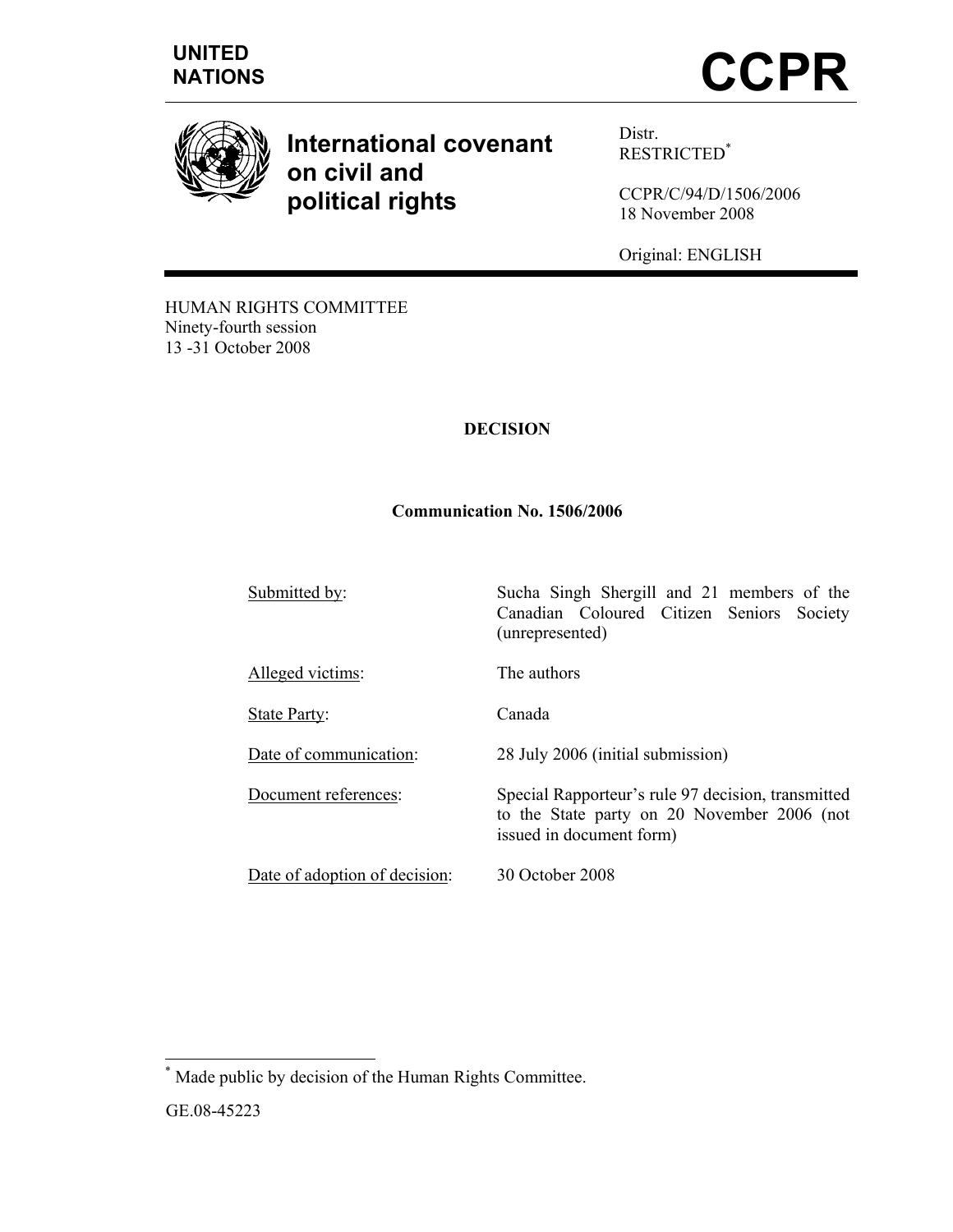





**International covenant on civil and political rights** 

Distr. RESTRICTED\*

CCPR/C/94/D/1506/2006 18 November 2008

Original: ENGLISH

HUMAN RIGHTS COMMITTEE Ninety-fourth session 13 -31 October 2008

# **DECISION**

### **Communication No. 1506/2006**

Submitted by: Sucha Singh Shergill and 21 members of the Canadian Coloured Citizen Seniors Society (unrepresented)

Alleged victims: The authors

State Party: Canada

Date of communication: 28 July 2006 (initial submission)

Document references: Special Rapporteur's rule 97 decision, transmitted to the State party on 20 November 2006 (not issued in document form)

Date of adoption of decision: 30 October 2008

 \* Made public by decision of the Human Rights Committee.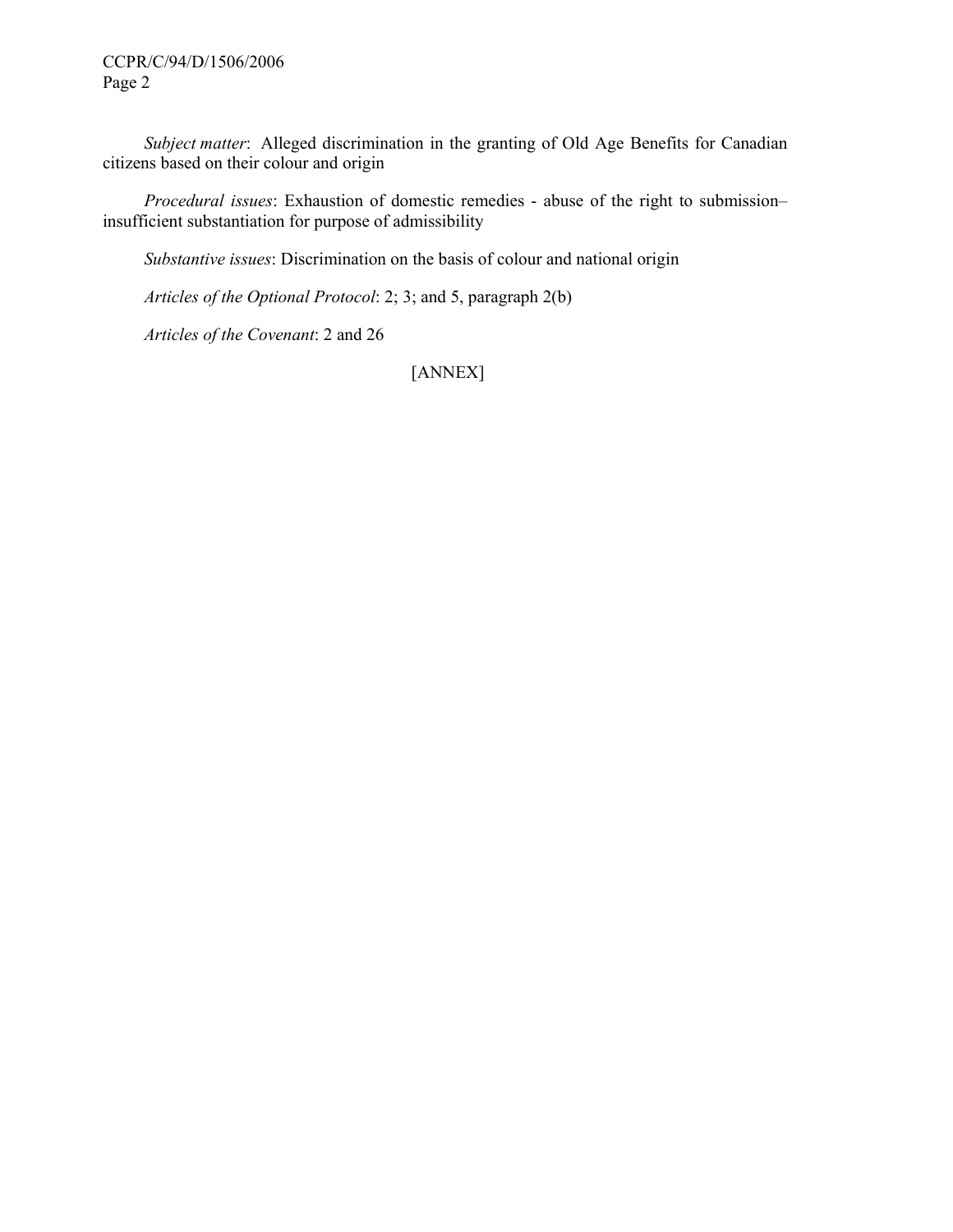*Subject matter*: Alleged discrimination in the granting of Old Age Benefits for Canadian citizens based on their colour and origin

*Procedural issues*: Exhaustion of domestic remedies - abuse of the right to submission– insufficient substantiation for purpose of admissibility

*Substantive issues*: Discrimination on the basis of colour and national origin

 *Articles of the Optional Protocol*: 2; 3; and 5, paragraph 2(b)

 *Articles of the Covenant*: 2 and 26

[ANNEX]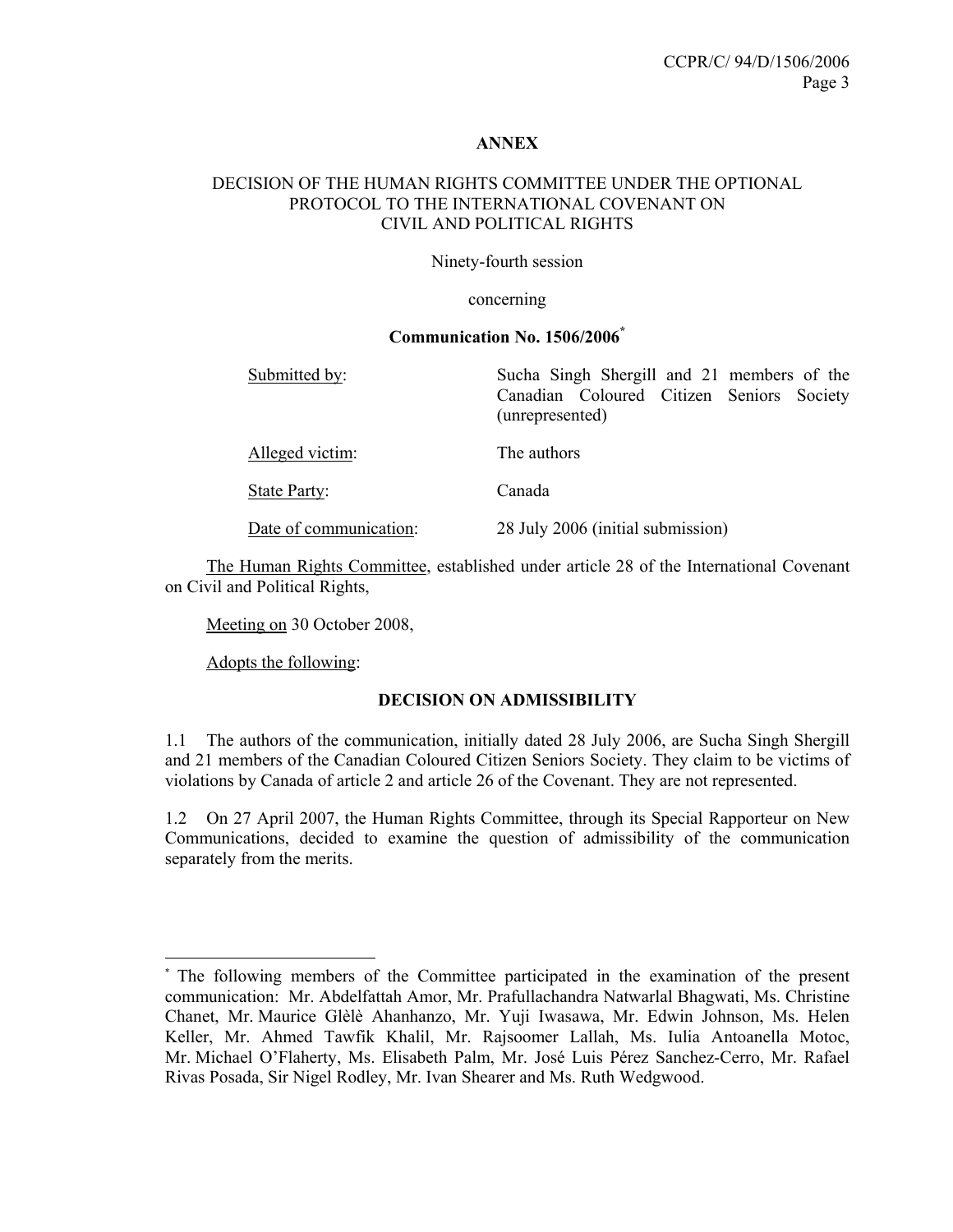### **ANNEX**

# DECISION OF THE HUMAN RIGHTS COMMITTEE UNDER THE OPTIONAL PROTOCOL TO THE INTERNATIONAL COVENANT ON CIVIL AND POLITICAL RIGHTS

Ninety-fourth session

#### concerning

#### **Communication No. 1506/2006\***

| Submitted by:          | Sucha Singh Shergill and 21 members of the<br>Canadian Coloured Citizen Seniors Society<br>(unrepresented) |
|------------------------|------------------------------------------------------------------------------------------------------------|
| Alleged victim:        | The authors                                                                                                |
| <b>State Party:</b>    | Canada                                                                                                     |
| Date of communication: | 28 July 2006 (initial submission)                                                                          |

 The Human Rights Committee, established under article 28 of the International Covenant on Civil and Political Rights,

Meeting on 30 October 2008,

Adopts the following:

 $\overline{a}$ 

## **DECISION ON ADMISSIBILITY**

1.1 The authors of the communication, initially dated 28 July 2006, are Sucha Singh Shergill and 21 members of the Canadian Coloured Citizen Seniors Society. They claim to be victims of violations by Canada of article 2 and article 26 of the Covenant. They are not represented.

1.2 On 27 April 2007, the Human Rights Committee, through its Special Rapporteur on New Communications, decided to examine the question of admissibility of the communication separately from the merits.

<sup>\*</sup> The following members of the Committee participated in the examination of the present communication: Mr. Abdelfattah Amor, Mr. Prafullachandra Natwarlal Bhagwati, Ms. Christine Chanet, Mr. Maurice Glèlè Ahanhanzo, Mr. Yuji Iwasawa, Mr. Edwin Johnson, Ms. Helen Keller, Mr. Ahmed Tawfik Khalil, Mr. Rajsoomer Lallah, Ms. Iulia Antoanella Motoc, Mr. Michael O'Flaherty, Ms. Elisabeth Palm, Mr. José Luis Pérez Sanchez-Cerro, Mr. Rafael Rivas Posada, Sir Nigel Rodley, Mr. Ivan Shearer and Ms. Ruth Wedgwood.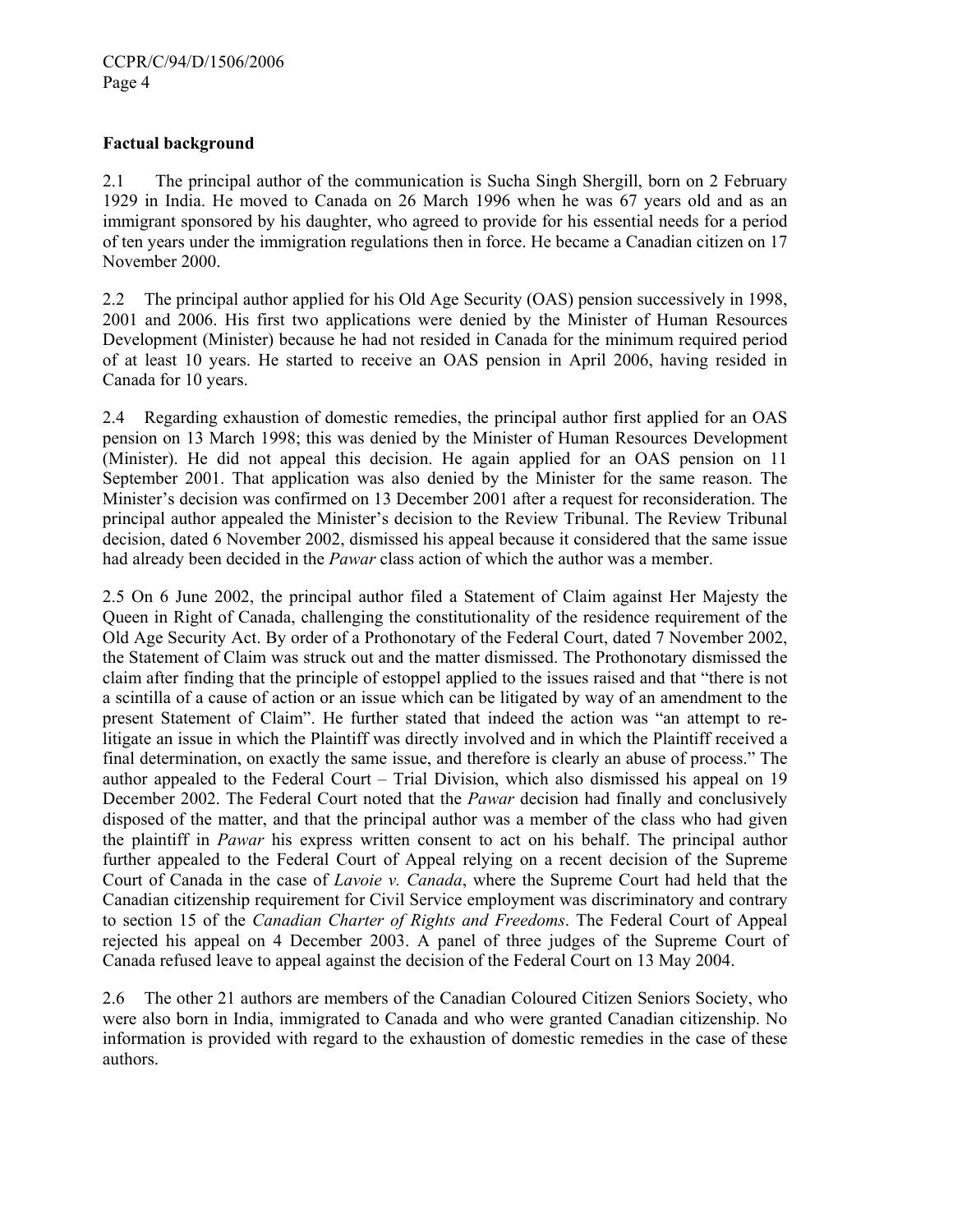# **Factual background**

2.1 The principal author of the communication is Sucha Singh Shergill, born on 2 February 1929 in India. He moved to Canada on 26 March 1996 when he was 67 years old and as an immigrant sponsored by his daughter, who agreed to provide for his essential needs for a period of ten years under the immigration regulations then in force. He became a Canadian citizen on 17 November 2000.

2.2 The principal author applied for his Old Age Security (OAS) pension successively in 1998, 2001 and 2006. His first two applications were denied by the Minister of Human Resources Development (Minister) because he had not resided in Canada for the minimum required period of at least 10 years. He started to receive an OAS pension in April 2006, having resided in Canada for 10 years.

2.4 Regarding exhaustion of domestic remedies, the principal author first applied for an OAS pension on 13 March 1998; this was denied by the Minister of Human Resources Development (Minister). He did not appeal this decision. He again applied for an OAS pension on 11 September 2001. That application was also denied by the Minister for the same reason. The Minister's decision was confirmed on 13 December 2001 after a request for reconsideration. The principal author appealed the Minister's decision to the Review Tribunal. The Review Tribunal decision, dated 6 November 2002, dismissed his appeal because it considered that the same issue had already been decided in the *Pawar* class action of which the author was a member.

2.5 On 6 June 2002, the principal author filed a Statement of Claim against Her Majesty the Queen in Right of Canada, challenging the constitutionality of the residence requirement of the Old Age Security Act. By order of a Prothonotary of the Federal Court, dated 7 November 2002, the Statement of Claim was struck out and the matter dismissed. The Prothonotary dismissed the claim after finding that the principle of estoppel applied to the issues raised and that "there is not a scintilla of a cause of action or an issue which can be litigated by way of an amendment to the present Statement of Claim". He further stated that indeed the action was "an attempt to relitigate an issue in which the Plaintiff was directly involved and in which the Plaintiff received a final determination, on exactly the same issue, and therefore is clearly an abuse of process." The author appealed to the Federal Court – Trial Division, which also dismissed his appeal on 19 December 2002. The Federal Court noted that the *Pawar* decision had finally and conclusively disposed of the matter, and that the principal author was a member of the class who had given the plaintiff in *Pawar* his express written consent to act on his behalf. The principal author further appealed to the Federal Court of Appeal relying on a recent decision of the Supreme Court of Canada in the case of *Lavoie v. Canada*, where the Supreme Court had held that the Canadian citizenship requirement for Civil Service employment was discriminatory and contrary to section 15 of the *Canadian Charter of Rights and Freedoms*. The Federal Court of Appeal rejected his appeal on 4 December 2003. A panel of three judges of the Supreme Court of Canada refused leave to appeal against the decision of the Federal Court on 13 May 2004.

2.6 The other 21 authors are members of the Canadian Coloured Citizen Seniors Society, who were also born in India, immigrated to Canada and who were granted Canadian citizenship. No information is provided with regard to the exhaustion of domestic remedies in the case of these authors.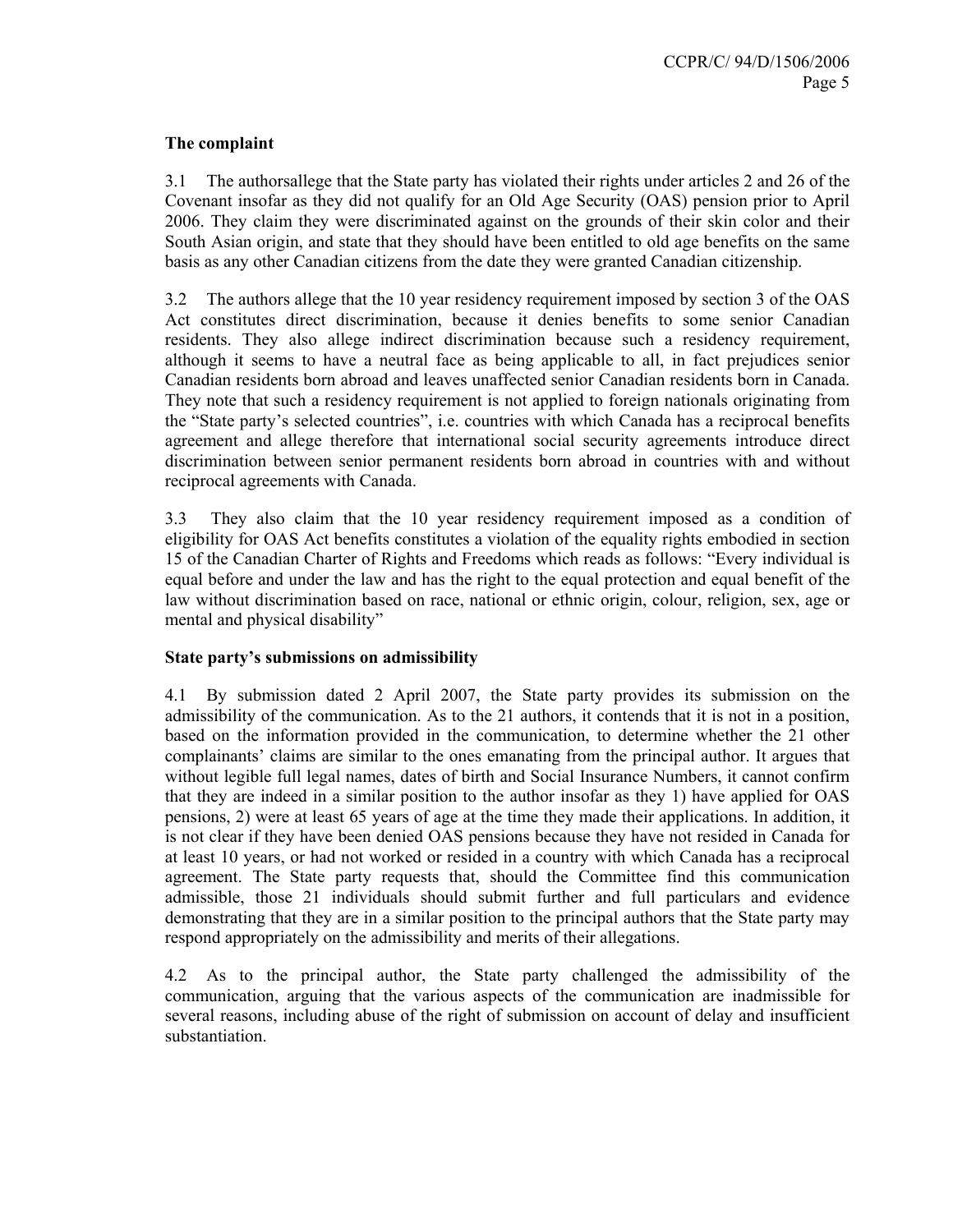# **The complaint**

3.1 The authorsallege that the State party has violated their rights under articles 2 and 26 of the Covenant insofar as they did not qualify for an Old Age Security (OAS) pension prior to April 2006. They claim they were discriminated against on the grounds of their skin color and their South Asian origin, and state that they should have been entitled to old age benefits on the same basis as any other Canadian citizens from the date they were granted Canadian citizenship.

3.2 The authors allege that the 10 year residency requirement imposed by section 3 of the OAS Act constitutes direct discrimination, because it denies benefits to some senior Canadian residents. They also allege indirect discrimination because such a residency requirement, although it seems to have a neutral face as being applicable to all, in fact prejudices senior Canadian residents born abroad and leaves unaffected senior Canadian residents born in Canada. They note that such a residency requirement is not applied to foreign nationals originating from the "State party's selected countries", i.e. countries with which Canada has a reciprocal benefits agreement and allege therefore that international social security agreements introduce direct discrimination between senior permanent residents born abroad in countries with and without reciprocal agreements with Canada.

3.3 They also claim that the 10 year residency requirement imposed as a condition of eligibility for OAS Act benefits constitutes a violation of the equality rights embodied in section 15 of the Canadian Charter of Rights and Freedoms which reads as follows: "Every individual is equal before and under the law and has the right to the equal protection and equal benefit of the law without discrimination based on race, national or ethnic origin, colour, religion, sex, age or mental and physical disability"

## **State party's submissions on admissibility**

4.1 By submission dated 2 April 2007, the State party provides its submission on the admissibility of the communication. As to the 21 authors, it contends that it is not in a position, based on the information provided in the communication, to determine whether the 21 other complainants' claims are similar to the ones emanating from the principal author. It argues that without legible full legal names, dates of birth and Social Insurance Numbers, it cannot confirm that they are indeed in a similar position to the author insofar as they 1) have applied for OAS pensions, 2) were at least 65 years of age at the time they made their applications. In addition, it is not clear if they have been denied OAS pensions because they have not resided in Canada for at least 10 years, or had not worked or resided in a country with which Canada has a reciprocal agreement. The State party requests that, should the Committee find this communication admissible, those 21 individuals should submit further and full particulars and evidence demonstrating that they are in a similar position to the principal authors that the State party may respond appropriately on the admissibility and merits of their allegations.

4.2 As to the principal author, the State party challenged the admissibility of the communication, arguing that the various aspects of the communication are inadmissible for several reasons, including abuse of the right of submission on account of delay and insufficient substantiation.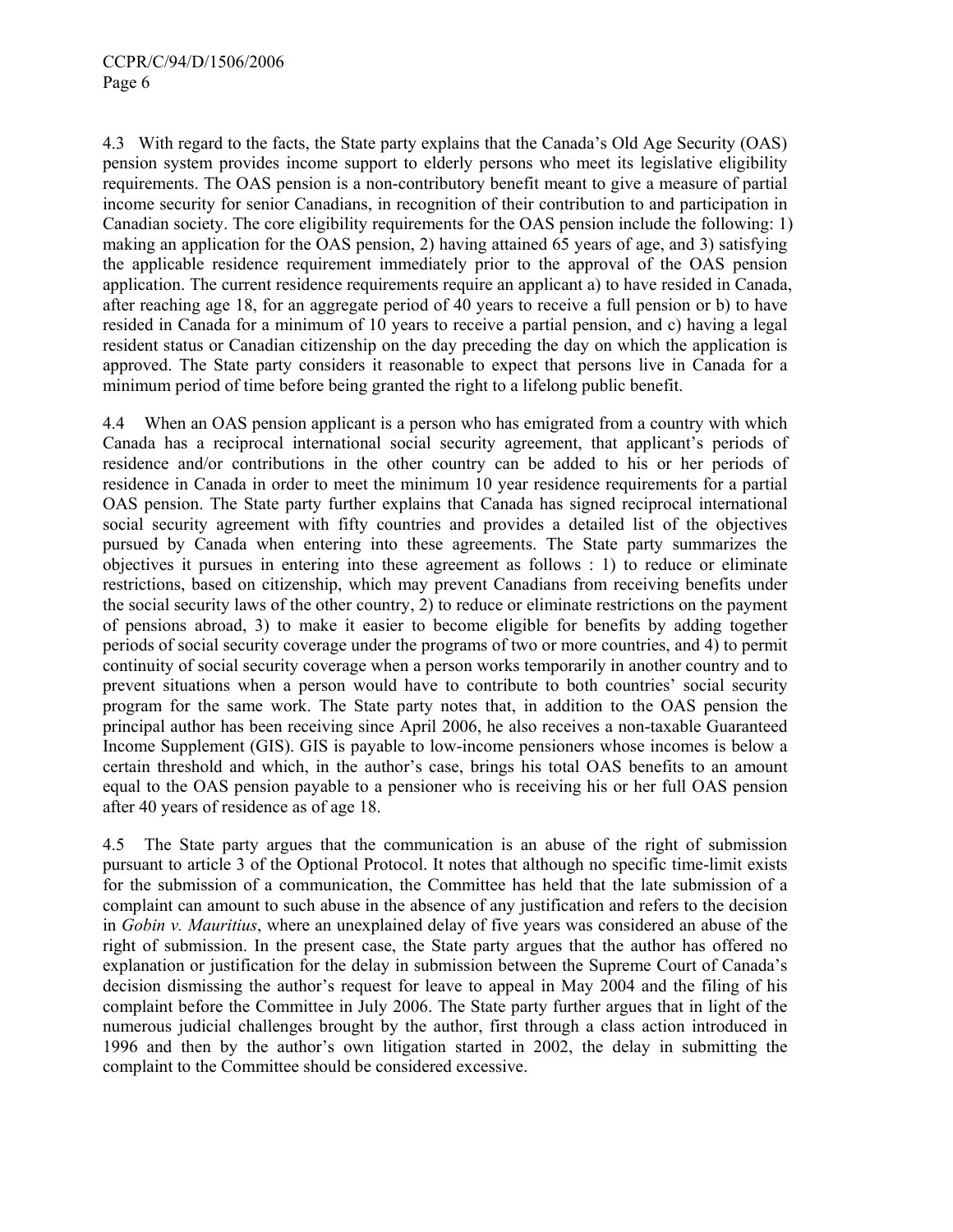4.3 With regard to the facts, the State party explains that the Canada's Old Age Security (OAS) pension system provides income support to elderly persons who meet its legislative eligibility requirements. The OAS pension is a non-contributory benefit meant to give a measure of partial income security for senior Canadians, in recognition of their contribution to and participation in Canadian society. The core eligibility requirements for the OAS pension include the following: 1) making an application for the OAS pension, 2) having attained 65 years of age, and 3) satisfying the applicable residence requirement immediately prior to the approval of the OAS pension application. The current residence requirements require an applicant a) to have resided in Canada, after reaching age 18, for an aggregate period of 40 years to receive a full pension or b) to have resided in Canada for a minimum of 10 years to receive a partial pension, and c) having a legal resident status or Canadian citizenship on the day preceding the day on which the application is approved. The State party considers it reasonable to expect that persons live in Canada for a minimum period of time before being granted the right to a lifelong public benefit.

4.4 When an OAS pension applicant is a person who has emigrated from a country with which Canada has a reciprocal international social security agreement, that applicant's periods of residence and/or contributions in the other country can be added to his or her periods of residence in Canada in order to meet the minimum 10 year residence requirements for a partial OAS pension. The State party further explains that Canada has signed reciprocal international social security agreement with fifty countries and provides a detailed list of the objectives pursued by Canada when entering into these agreements. The State party summarizes the objectives it pursues in entering into these agreement as follows : 1) to reduce or eliminate restrictions, based on citizenship, which may prevent Canadians from receiving benefits under the social security laws of the other country, 2) to reduce or eliminate restrictions on the payment of pensions abroad, 3) to make it easier to become eligible for benefits by adding together periods of social security coverage under the programs of two or more countries, and 4) to permit continuity of social security coverage when a person works temporarily in another country and to prevent situations when a person would have to contribute to both countries' social security program for the same work. The State party notes that, in addition to the OAS pension the principal author has been receiving since April 2006, he also receives a non-taxable Guaranteed Income Supplement (GIS). GIS is payable to low-income pensioners whose incomes is below a certain threshold and which, in the author's case, brings his total OAS benefits to an amount equal to the OAS pension payable to a pensioner who is receiving his or her full OAS pension after 40 years of residence as of age 18.

4.5 The State party argues that the communication is an abuse of the right of submission pursuant to article 3 of the Optional Protocol. It notes that although no specific time-limit exists for the submission of a communication, the Committee has held that the late submission of a complaint can amount to such abuse in the absence of any justification and refers to the decision in *Gobin v. Mauritius*, where an unexplained delay of five years was considered an abuse of the right of submission. In the present case, the State party argues that the author has offered no explanation or justification for the delay in submission between the Supreme Court of Canada's decision dismissing the author's request for leave to appeal in May 2004 and the filing of his complaint before the Committee in July 2006. The State party further argues that in light of the numerous judicial challenges brought by the author, first through a class action introduced in 1996 and then by the author's own litigation started in 2002, the delay in submitting the complaint to the Committee should be considered excessive.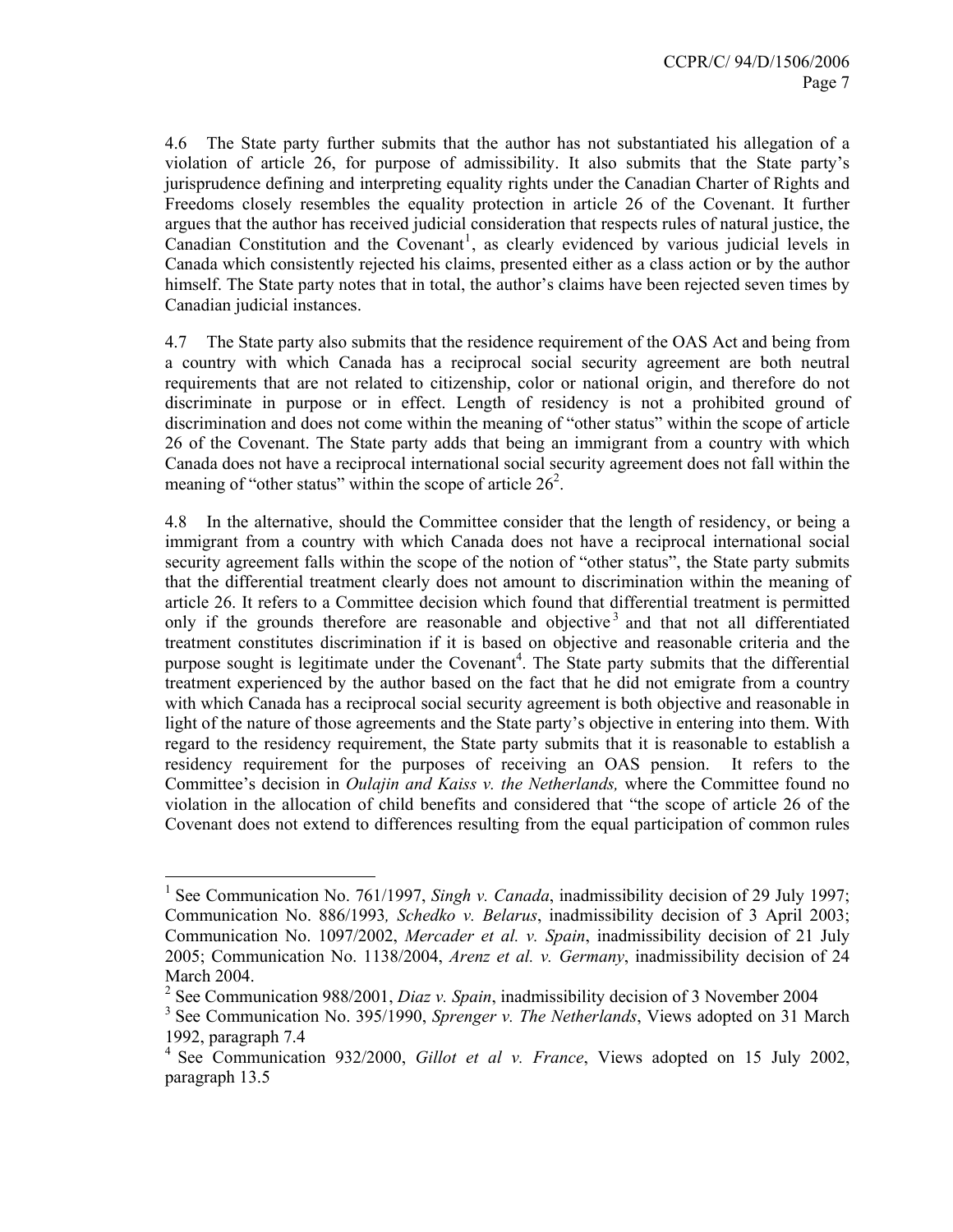4.6 The State party further submits that the author has not substantiated his allegation of a violation of article 26, for purpose of admissibility. It also submits that the State party's jurisprudence defining and interpreting equality rights under the Canadian Charter of Rights and Freedoms closely resembles the equality protection in article 26 of the Covenant. It further argues that the author has received judicial consideration that respects rules of natural justice, the Canadian Constitution and the Covenant<sup>1</sup>, as clearly evidenced by various judicial levels in Canada which consistently rejected his claims, presented either as a class action or by the author himself. The State party notes that in total, the author's claims have been rejected seven times by Canadian judicial instances.

4.7 The State party also submits that the residence requirement of the OAS Act and being from a country with which Canada has a reciprocal social security agreement are both neutral requirements that are not related to citizenship, color or national origin, and therefore do not discriminate in purpose or in effect. Length of residency is not a prohibited ground of discrimination and does not come within the meaning of "other status" within the scope of article 26 of the Covenant. The State party adds that being an immigrant from a country with which Canada does not have a reciprocal international social security agreement does not fall within the meaning of "other status" within the scope of article  $26<sup>2</sup>$ .

4.8 In the alternative, should the Committee consider that the length of residency, or being a immigrant from a country with which Canada does not have a reciprocal international social security agreement falls within the scope of the notion of "other status", the State party submits that the differential treatment clearly does not amount to discrimination within the meaning of article 26. It refers to a Committee decision which found that differential treatment is permitted only if the grounds therefore are reasonable and objective<sup>3</sup> and that not all differentiated treatment constitutes discrimination if it is based on objective and reasonable criteria and the purpose sought is legitimate under the Covenant<sup>4</sup>. The State party submits that the differential treatment experienced by the author based on the fact that he did not emigrate from a country with which Canada has a reciprocal social security agreement is both objective and reasonable in light of the nature of those agreements and the State party's objective in entering into them. With regard to the residency requirement, the State party submits that it is reasonable to establish a residency requirement for the purposes of receiving an OAS pension. It refers to the Committee's decision in *Oulajin and Kaiss v. the Netherlands,* where the Committee found no violation in the allocation of child benefits and considered that "the scope of article 26 of the Covenant does not extend to differences resulting from the equal participation of common rules

 $\overline{a}$ 

<sup>&</sup>lt;sup>1</sup> See Communication No. 761/1997, *Singh v. Canada*, inadmissibility decision of 29 July 1997; Communication No. 886/1993*, Schedko v. Belarus*, inadmissibility decision of 3 April 2003; Communication No. 1097/2002, *Mercader et al. v. Spain*, inadmissibility decision of 21 July 2005; Communication No. 1138/2004, *Arenz et al. v. Germany*, inadmissibility decision of 24 March 2004.

<sup>2</sup> See Communication 988/2001, *Diaz v. Spain*, inadmissibility decision of 3 November 2004

<sup>&</sup>lt;sup>3</sup> See Communication No. 395/1990, *Sprenger v. The Netherlands*, Views adopted on 31 March 1992, paragraph 7.4

<sup>4</sup> See Communication 932/2000, *Gillot et al v. France*, Views adopted on 15 July 2002, paragraph 13.5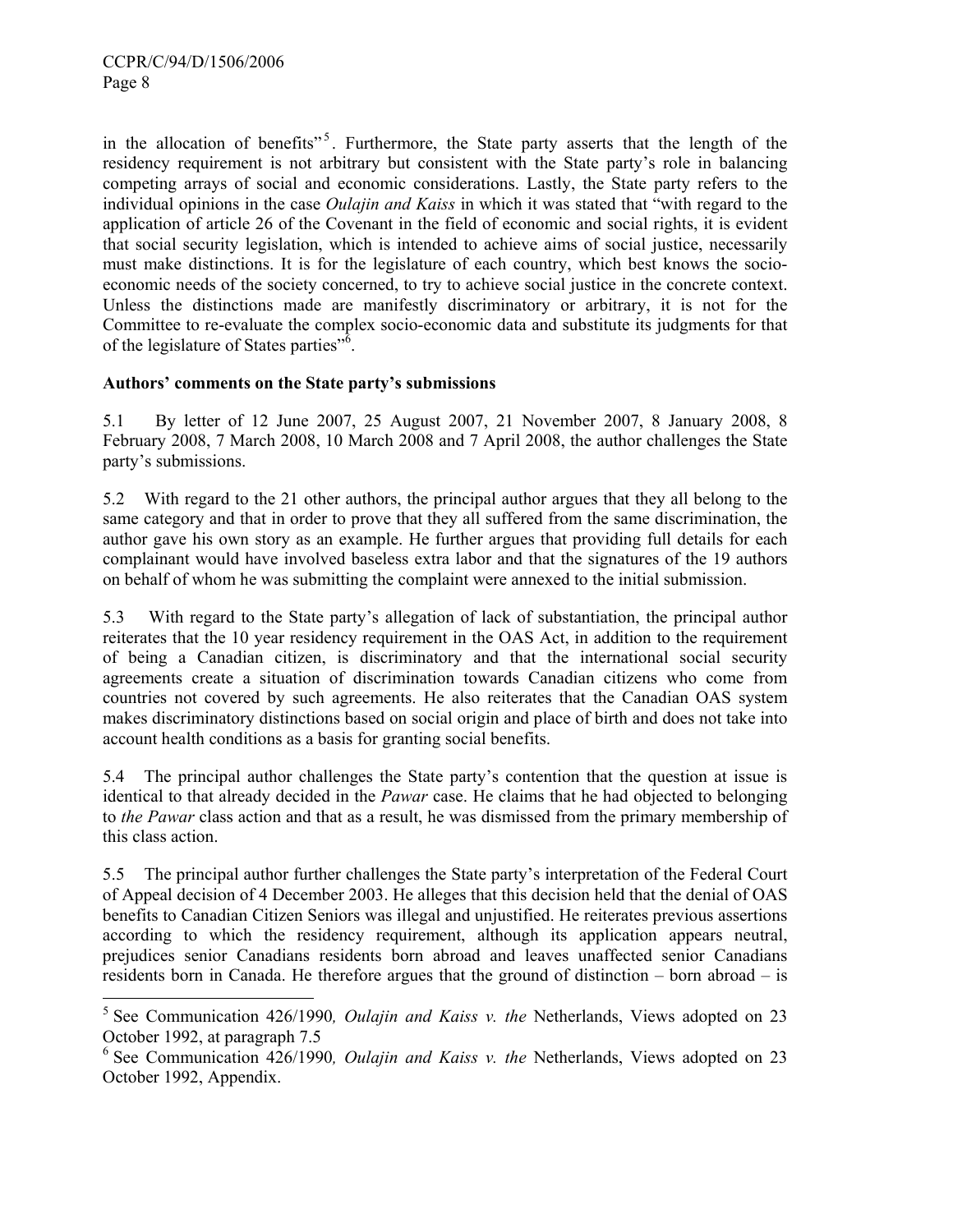-

in the allocation of benefits"<sup>5</sup>. Furthermore, the State party asserts that the length of the residency requirement is not arbitrary but consistent with the State party's role in balancing competing arrays of social and economic considerations. Lastly, the State party refers to the individual opinions in the case *Oulajin and Kaiss* in which it was stated that "with regard to the application of article 26 of the Covenant in the field of economic and social rights, it is evident that social security legislation, which is intended to achieve aims of social justice, necessarily must make distinctions. It is for the legislature of each country, which best knows the socioeconomic needs of the society concerned, to try to achieve social justice in the concrete context. Unless the distinctions made are manifestly discriminatory or arbitrary, it is not for the Committee to re-evaluate the complex socio-economic data and substitute its judgments for that of the legislature of States parties"<sup>5</sup>.

# **Authors' comments on the State party's submissions**

5.1 By letter of 12 June 2007, 25 August 2007, 21 November 2007, 8 January 2008, 8 February 2008, 7 March 2008, 10 March 2008 and 7 April 2008, the author challenges the State party's submissions.

5.2 With regard to the 21 other authors, the principal author argues that they all belong to the same category and that in order to prove that they all suffered from the same discrimination, the author gave his own story as an example. He further argues that providing full details for each complainant would have involved baseless extra labor and that the signatures of the 19 authors on behalf of whom he was submitting the complaint were annexed to the initial submission.

5.3 With regard to the State party's allegation of lack of substantiation, the principal author reiterates that the 10 year residency requirement in the OAS Act, in addition to the requirement of being a Canadian citizen, is discriminatory and that the international social security agreements create a situation of discrimination towards Canadian citizens who come from countries not covered by such agreements. He also reiterates that the Canadian OAS system makes discriminatory distinctions based on social origin and place of birth and does not take into account health conditions as a basis for granting social benefits.

5.4 The principal author challenges the State party's contention that the question at issue is identical to that already decided in the *Pawar* case. He claims that he had objected to belonging to *the Pawar* class action and that as a result, he was dismissed from the primary membership of this class action.

5.5 The principal author further challenges the State party's interpretation of the Federal Court of Appeal decision of 4 December 2003. He alleges that this decision held that the denial of OAS benefits to Canadian Citizen Seniors was illegal and unjustified. He reiterates previous assertions according to which the residency requirement, although its application appears neutral, prejudices senior Canadians residents born abroad and leaves unaffected senior Canadians residents born in Canada. He therefore argues that the ground of distinction – born abroad – is

<sup>&</sup>lt;sup>5</sup> See Communication 426/1990, *Oulajin and Kaiss v. the* Netherlands, Views adopted on 23 October 1992, at paragraph 7.5

<sup>&</sup>lt;sup>6</sup> See Communication 426/1990, *Oulajin and Kaiss v. the* Netherlands, Views adopted on 23 October 1992, Appendix.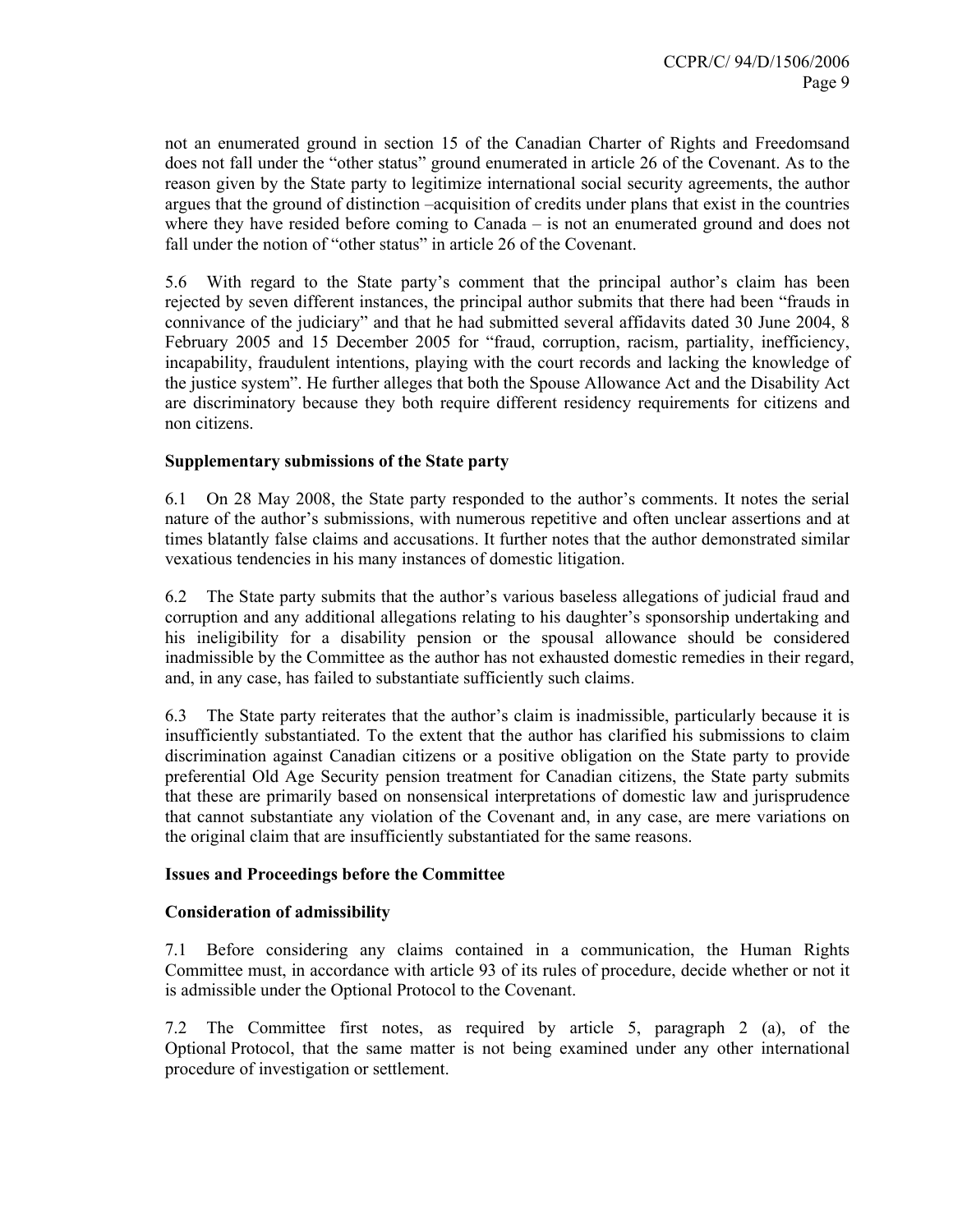not an enumerated ground in section 15 of the Canadian Charter of Rights and Freedomsand does not fall under the "other status" ground enumerated in article 26 of the Covenant. As to the reason given by the State party to legitimize international social security agreements, the author argues that the ground of distinction –acquisition of credits under plans that exist in the countries where they have resided before coming to Canada – is not an enumerated ground and does not fall under the notion of "other status" in article 26 of the Covenant.

5.6 With regard to the State party's comment that the principal author's claim has been rejected by seven different instances, the principal author submits that there had been "frauds in connivance of the judiciary" and that he had submitted several affidavits dated 30 June 2004, 8 February 2005 and 15 December 2005 for "fraud, corruption, racism, partiality, inefficiency, incapability, fraudulent intentions, playing with the court records and lacking the knowledge of the justice system". He further alleges that both the Spouse Allowance Act and the Disability Act are discriminatory because they both require different residency requirements for citizens and non citizens.

## **Supplementary submissions of the State party**

6.1 On 28 May 2008, the State party responded to the author's comments. It notes the serial nature of the author's submissions, with numerous repetitive and often unclear assertions and at times blatantly false claims and accusations. It further notes that the author demonstrated similar vexatious tendencies in his many instances of domestic litigation.

6.2 The State party submits that the author's various baseless allegations of judicial fraud and corruption and any additional allegations relating to his daughter's sponsorship undertaking and his ineligibility for a disability pension or the spousal allowance should be considered inadmissible by the Committee as the author has not exhausted domestic remedies in their regard, and, in any case, has failed to substantiate sufficiently such claims.

6.3 The State party reiterates that the author's claim is inadmissible, particularly because it is insufficiently substantiated. To the extent that the author has clarified his submissions to claim discrimination against Canadian citizens or a positive obligation on the State party to provide preferential Old Age Security pension treatment for Canadian citizens, the State party submits that these are primarily based on nonsensical interpretations of domestic law and jurisprudence that cannot substantiate any violation of the Covenant and, in any case, are mere variations on the original claim that are insufficiently substantiated for the same reasons.

## **Issues and Proceedings before the Committee**

## **Consideration of admissibility**

7.1 Before considering any claims contained in a communication, the Human Rights Committee must, in accordance with article 93 of its rules of procedure, decide whether or not it is admissible under the Optional Protocol to the Covenant.

7.2 The Committee first notes, as required by article 5, paragraph 2 (a), of the Optional Protocol, that the same matter is not being examined under any other international procedure of investigation or settlement.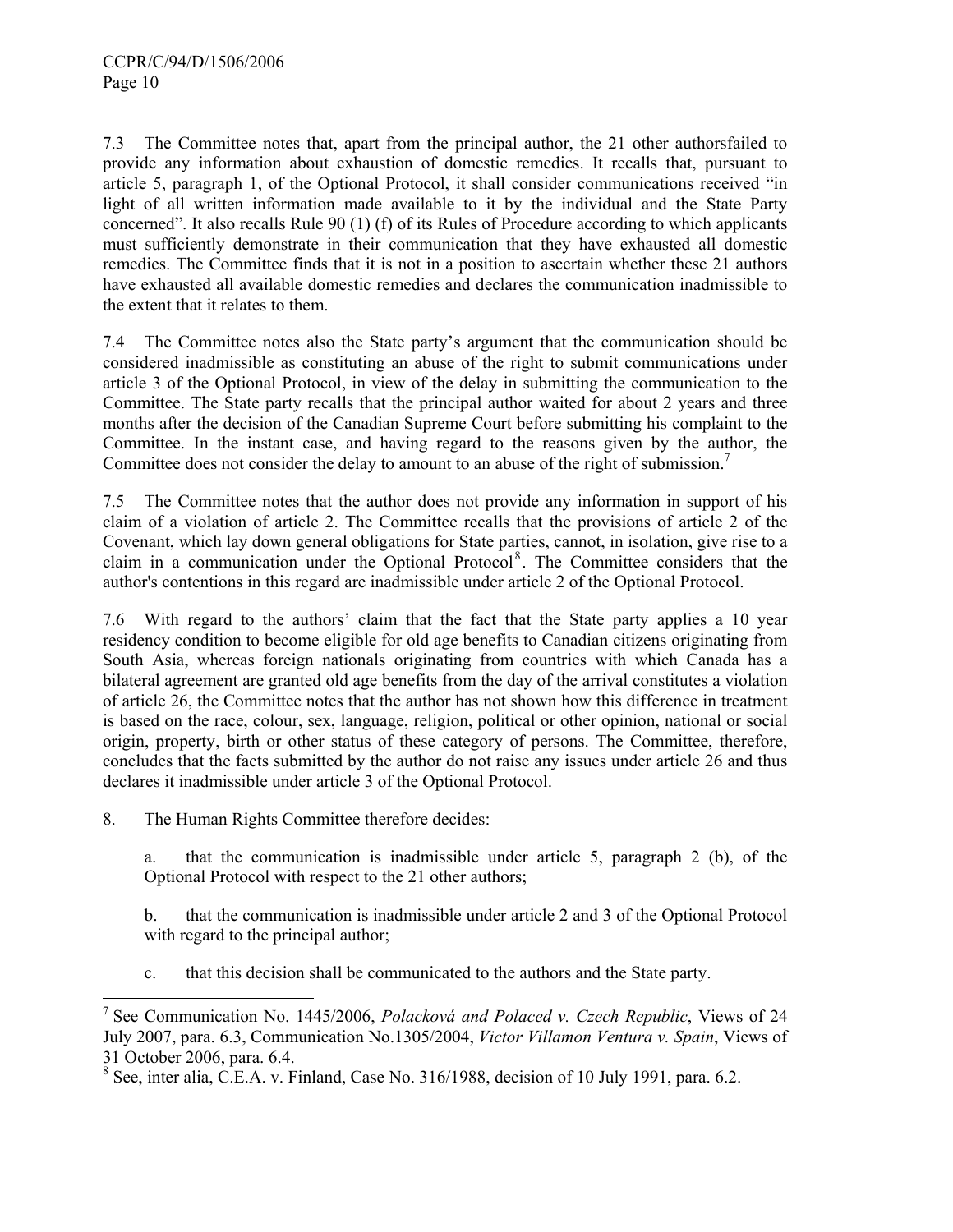7.3 The Committee notes that, apart from the principal author, the 21 other authorsfailed to provide any information about exhaustion of domestic remedies. It recalls that, pursuant to article 5, paragraph 1, of the Optional Protocol, it shall consider communications received "in light of all written information made available to it by the individual and the State Party concerned". It also recalls Rule 90 (1) (f) of its Rules of Procedure according to which applicants must sufficiently demonstrate in their communication that they have exhausted all domestic remedies. The Committee finds that it is not in a position to ascertain whether these 21 authors have exhausted all available domestic remedies and declares the communication inadmissible to the extent that it relates to them.

7.4 The Committee notes also the State party's argument that the communication should be considered inadmissible as constituting an abuse of the right to submit communications under article 3 of the Optional Protocol, in view of the delay in submitting the communication to the Committee. The State party recalls that the principal author waited for about 2 years and three months after the decision of the Canadian Supreme Court before submitting his complaint to the Committee. In the instant case, and having regard to the reasons given by the author, the Committee does not consider the delay to amount to an abuse of the right of submission.<sup>7</sup>

7.5 The Committee notes that the author does not provide any information in support of his claim of a violation of article 2. The Committee recalls that the provisions of article 2 of the Covenant, which lay down general obligations for State parties, cannot, in isolation, give rise to a claim in a communication under the Optional Protocol<sup>8</sup>. The Committee considers that the author's contentions in this regard are inadmissible under article 2 of the Optional Protocol.

7.6 With regard to the authors' claim that the fact that the State party applies a 10 year residency condition to become eligible for old age benefits to Canadian citizens originating from South Asia, whereas foreign nationals originating from countries with which Canada has a bilateral agreement are granted old age benefits from the day of the arrival constitutes a violation of article 26, the Committee notes that the author has not shown how this difference in treatment is based on the race, colour, sex, language, religion, political or other opinion, national or social origin, property, birth or other status of these category of persons. The Committee, therefore, concludes that the facts submitted by the author do not raise any issues under article 26 and thus declares it inadmissible under article 3 of the Optional Protocol.

8. The Human Rights Committee therefore decides:

 $\overline{a}$ 

a. that the communication is inadmissible under article 5, paragraph 2 (b), of the Optional Protocol with respect to the 21 other authors;

b. that the communication is inadmissible under article 2 and 3 of the Optional Protocol with regard to the principal author;

c. that this decision shall be communicated to the authors and the State party.

<sup>7</sup> See Communication No. 1445/2006, *Polacková and Polaced v. Czech Republic*, Views of 24 July 2007, para. 6.3, Communication No.1305/2004, *Victor Villamon Ventura v. Spain*, Views of 31 October 2006, para. 6.4.

 $8$  See, inter alia, C.E.A. v. Finland, Case No. 316/1988, decision of 10 July 1991, para. 6.2.